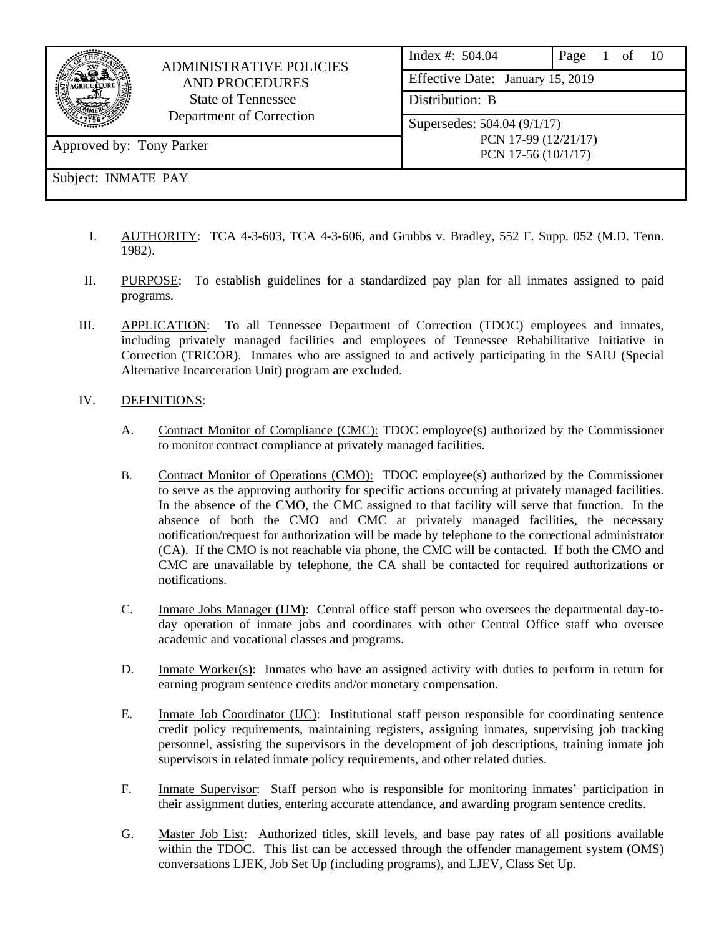| <b>ADMINISTRATIVE POLICIES</b><br><b>AND PROCEDURES</b><br><b>State of Tennessee</b><br>Department of Correction |                             | Index #: $504.04$<br>Effective Date: January 15, 2019 | Page 1 of 10 |  |  |  |  |  |  |
|------------------------------------------------------------------------------------------------------------------|-----------------------------|-------------------------------------------------------|--------------|--|--|--|--|--|--|
|                                                                                                                  |                             | Distribution: B                                       |              |  |  |  |  |  |  |
|                                                                                                                  | Supersedes: 504.04 (9/1/17) |                                                       |              |  |  |  |  |  |  |
| Approved by: Tony Parker                                                                                         |                             | PCN 17-99 (12/21/17)<br>PCN 17-56 $(10/1/17)$         |              |  |  |  |  |  |  |
| Subject: INMATE PAY                                                                                              |                             |                                                       |              |  |  |  |  |  |  |

- I. AUTHORITY: TCA 4-3-603, TCA 4-3-606, and Grubbs v. Bradley, 552 F. Supp. 052 (M.D. Tenn. 1982).
- II. PURPOSE: To establish guidelines for a standardized pay plan for all inmates assigned to paid programs.
- III. APPLICATION: To all Tennessee Department of Correction (TDOC) employees and inmates, including privately managed facilities and employees of Tennessee Rehabilitative Initiative in Correction (TRICOR). Inmates who are assigned to and actively participating in the SAIU (Special Alternative Incarceration Unit) program are excluded.

## IV. DEFINITIONS:

- A. Contract Monitor of Compliance (CMC): TDOC employee(s) authorized by the Commissioner to monitor contract compliance at privately managed facilities.
- B. Contract Monitor of Operations (CMO): TDOC employee(s) authorized by the Commissioner to serve as the approving authority for specific actions occurring at privately managed facilities. In the absence of the CMO, the CMC assigned to that facility will serve that function. In the absence of both the CMO and CMC at privately managed facilities, the necessary notification/request for authorization will be made by telephone to the correctional administrator (CA). If the CMO is not reachable via phone, the CMC will be contacted. If both the CMO and CMC are unavailable by telephone, the CA shall be contacted for required authorizations or notifications.
- C. Inmate Jobs Manager (IJM): Central office staff person who oversees the departmental day-today operation of inmate jobs and coordinates with other Central Office staff who oversee academic and vocational classes and programs.
- D. Inmate Worker(s): Inmates who have an assigned activity with duties to perform in return for earning program sentence credits and/or monetary compensation.
- E. Inmate Job Coordinator (IJC): Institutional staff person responsible for coordinating sentence credit policy requirements, maintaining registers, assigning inmates, supervising job tracking personnel, assisting the supervisors in the development of job descriptions, training inmate job supervisors in related inmate policy requirements, and other related duties.
- F. Inmate Supervisor: Staff person who is responsible for monitoring inmates' participation in their assignment duties, entering accurate attendance, and awarding program sentence credits.
- G. Master Job List: Authorized titles, skill levels, and base pay rates of all positions available within the TDOC. This list can be accessed through the offender management system (OMS) conversations LJEK, Job Set Up (including programs), and LJEV, Class Set Up.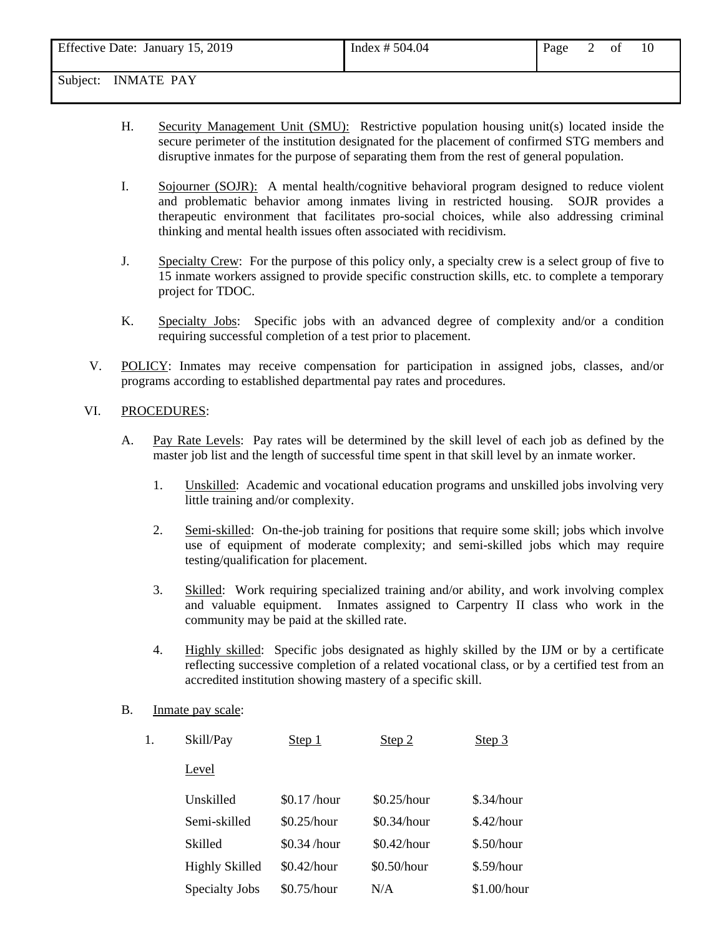| Effective Date: January 15, 2019 | Index $# 504.04$ | Page | 0Ì | 10 |
|----------------------------------|------------------|------|----|----|
|                                  |                  |      |    |    |

- H. Security Management Unit (SMU): Restrictive population housing unit(s) located inside the secure perimeter of the institution designated for the placement of confirmed STG members and disruptive inmates for the purpose of separating them from the rest of general population.
- I. Sojourner (SOJR): A mental health/cognitive behavioral program designed to reduce violent and problematic behavior among inmates living in restricted housing. SOJR provides a therapeutic environment that facilitates pro-social choices, while also addressing criminal thinking and mental health issues often associated with recidivism.
- J. Specialty Crew: For the purpose of this policy only, a specialty crew is a select group of five to 15 inmate workers assigned to provide specific construction skills, etc. to complete a temporary project for TDOC.
- K. Specialty Jobs:Specific jobs with an advanced degree of complexity and/or a condition requiring successful completion of a test prior to placement.
- V. POLICY: Inmates may receive compensation for participation in assigned jobs, classes, and/or programs according to established departmental pay rates and procedures.

## VI. PROCEDURES:

- A. Pay Rate Levels: Pay rates will be determined by the skill level of each job as defined by the master job list and the length of successful time spent in that skill level by an inmate worker.
	- 1. Unskilled: Academic and vocational education programs and unskilled jobs involving very little training and/or complexity.
	- 2. Semi-skilled: On-the-job training for positions that require some skill; jobs which involve use of equipment of moderate complexity; and semi-skilled jobs which may require testing/qualification for placement.
	- 3. Skilled: Work requiring specialized training and/or ability, and work involving complex and valuable equipment. Inmates assigned to Carpentry II class who work in the community may be paid at the skilled rate.
	- 4. Highly skilled: Specific jobs designated as highly skilled by the IJM or by a certificate reflecting successive completion of a related vocational class, or by a certified test from an accredited institution showing mastery of a specific skill.
- B. Inmate pay scale:

| Level                                                               |  |
|---------------------------------------------------------------------|--|
| \$0.25/hour<br>Unskilled<br>\$0.17/hour<br>\$.34/hour               |  |
| Semi-skilled<br>\$0.25/hour<br>\$.42/hour<br>\$0.34/hour            |  |
| \$0.42/hour<br>\$.50/hour<br>Skilled<br>\$0.34/hour                 |  |
| <b>Highly Skilled</b><br>\$0.42/hour<br>$$0.50/h$ our<br>\$.59/hour |  |
| \$1.00/hour<br>\$0.75/hour<br>Specialty Jobs<br>N/A                 |  |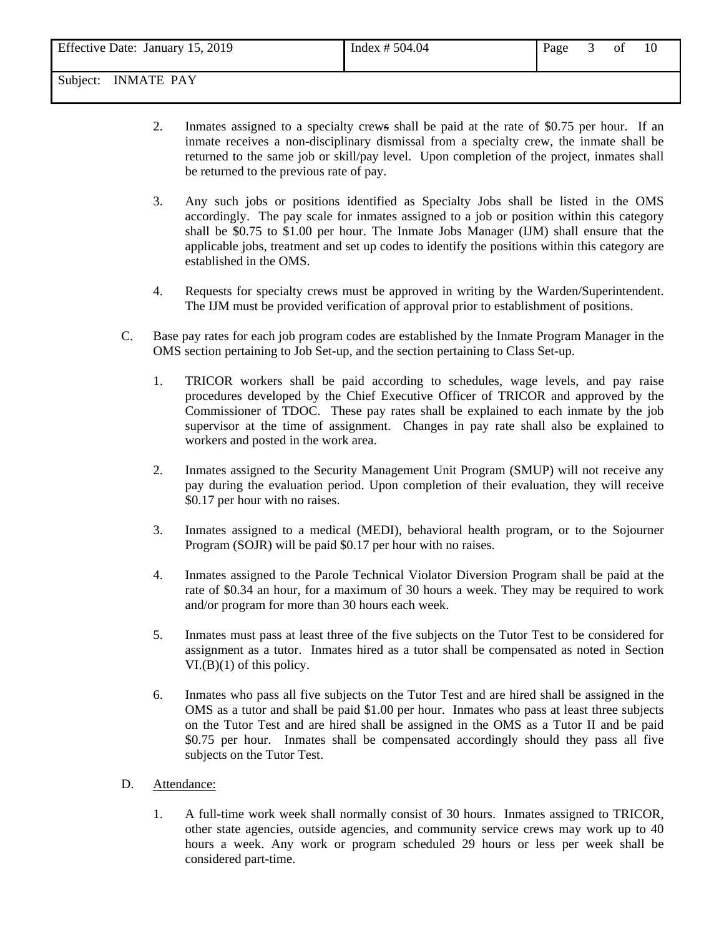| Effective Date: January 15, 2019 | Index # $504.04$ | Page | ΟÌ | 10 |  |
|----------------------------------|------------------|------|----|----|--|
| Subject:<br><b>INMATE PAY</b>    |                  |      |    |    |  |

- 2. Inmates assigned to a specialty crews shall be paid at the rate of \$0.75 per hour. If an inmate receives a non-disciplinary dismissal from a specialty crew, the inmate shall be returned to the same job or skill/pay level. Upon completion of the project, inmates shall be returned to the previous rate of pay.
- 3. Any such jobs or positions identified as Specialty Jobs shall be listed in the OMS accordingly. The pay scale for inmates assigned to a job or position within this category shall be \$0.75 to \$1.00 per hour. The Inmate Jobs Manager (IJM) shall ensure that the applicable jobs, treatment and set up codes to identify the positions within this category are established in the OMS.
- 4. Requests for specialty crews must be approved in writing by the Warden/Superintendent. The IJM must be provided verification of approval prior to establishment of positions.
- C. Base pay rates for each job program codes are established by the Inmate Program Manager in the OMS section pertaining to Job Set-up, and the section pertaining to Class Set-up.
	- 1. TRICOR workers shall be paid according to schedules, wage levels, and pay raise procedures developed by the Chief Executive Officer of TRICOR and approved by the Commissioner of TDOC. These pay rates shall be explained to each inmate by the job supervisor at the time of assignment. Changes in pay rate shall also be explained to workers and posted in the work area.
	- 2. Inmates assigned to the Security Management Unit Program (SMUP) will not receive any pay during the evaluation period. Upon completion of their evaluation, they will receive \$0.17 per hour with no raises.
	- 3. Inmates assigned to a medical (MEDI), behavioral health program, or to the Sojourner Program (SOJR) will be paid \$0.17 per hour with no raises.
	- 4. Inmates assigned to the Parole Technical Violator Diversion Program shall be paid at the rate of \$0.34 an hour, for a maximum of 30 hours a week. They may be required to work and/or program for more than 30 hours each week.
	- 5. Inmates must pass at least three of the five subjects on the Tutor Test to be considered for assignment as a tutor. Inmates hired as a tutor shall be compensated as noted in Section  $VI.(B)(1)$  of this policy.
	- 6. Inmates who pass all five subjects on the Tutor Test and are hired shall be assigned in the OMS as a tutor and shall be paid \$1.00 per hour. Inmates who pass at least three subjects on the Tutor Test and are hired shall be assigned in the OMS as a Tutor II and be paid \$0.75 per hour. Inmates shall be compensated accordingly should they pass all five subjects on the Tutor Test.
- D. Attendance:
	- 1. A full-time work week shall normally consist of 30 hours. Inmates assigned to TRICOR, other state agencies, outside agencies, and community service crews may work up to 40 hours a week. Any work or program scheduled 29 hours or less per week shall be considered part-time.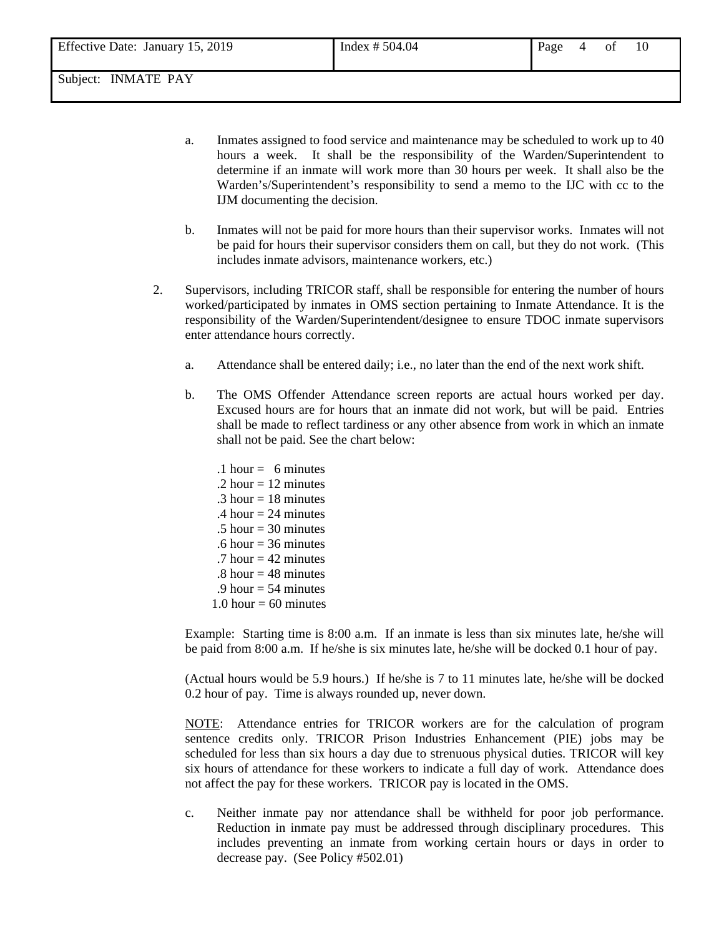- a. Inmates assigned to food service and maintenance may be scheduled to work up to 40 hours a week. It shall be the responsibility of the Warden/Superintendent to determine if an inmate will work more than 30 hours per week. It shall also be the Warden's/Superintendent's responsibility to send a memo to the IJC with cc to the IJM documenting the decision.
- b. Inmates will not be paid for more hours than their supervisor works. Inmates will not be paid for hours their supervisor considers them on call, but they do not work. (This includes inmate advisors, maintenance workers, etc.)
- 2. Supervisors, including TRICOR staff, shall be responsible for entering the number of hours worked/participated by inmates in OMS section pertaining to Inmate Attendance. It is the responsibility of the Warden/Superintendent/designee to ensure TDOC inmate supervisors enter attendance hours correctly.
	- a. Attendance shall be entered daily; i.e., no later than the end of the next work shift.
	- b. The OMS Offender Attendance screen reports are actual hours worked per day. Excused hours are for hours that an inmate did not work, but will be paid. Entries shall be made to reflect tardiness or any other absence from work in which an inmate shall not be paid. See the chart below:
		- .1 hour  $= 6$  minutes .2 hour  $= 12$  minutes .3 hour  $= 18$  minutes .4 hour  $= 24$  minutes  $.5$  hour = 30 minutes .6 hour  $=$  36 minutes .7 hour  $= 42$  minutes  $.8$  hour  $= 48$  minutes .9 hour  $=$  54 minutes 1.0 hour  $= 60$  minutes

Example: Starting time is 8:00 a.m. If an inmate is less than six minutes late, he/she will be paid from 8:00 a.m. If he/she is six minutes late, he/she will be docked 0.1 hour of pay.

(Actual hours would be 5.9 hours.) If he/she is 7 to 11 minutes late, he/she will be docked 0.2 hour of pay. Time is always rounded up, never down.

NOTE: Attendance entries for TRICOR workers are for the calculation of program sentence credits only. TRICOR Prison Industries Enhancement (PIE) jobs may be scheduled for less than six hours a day due to strenuous physical duties. TRICOR will key six hours of attendance for these workers to indicate a full day of work. Attendance does not affect the pay for these workers. TRICOR pay is located in the OMS.

c. Neither inmate pay nor attendance shall be withheld for poor job performance. Reduction in inmate pay must be addressed through disciplinary procedures. This includes preventing an inmate from working certain hours or days in order to decrease pay. (See Policy #502.01)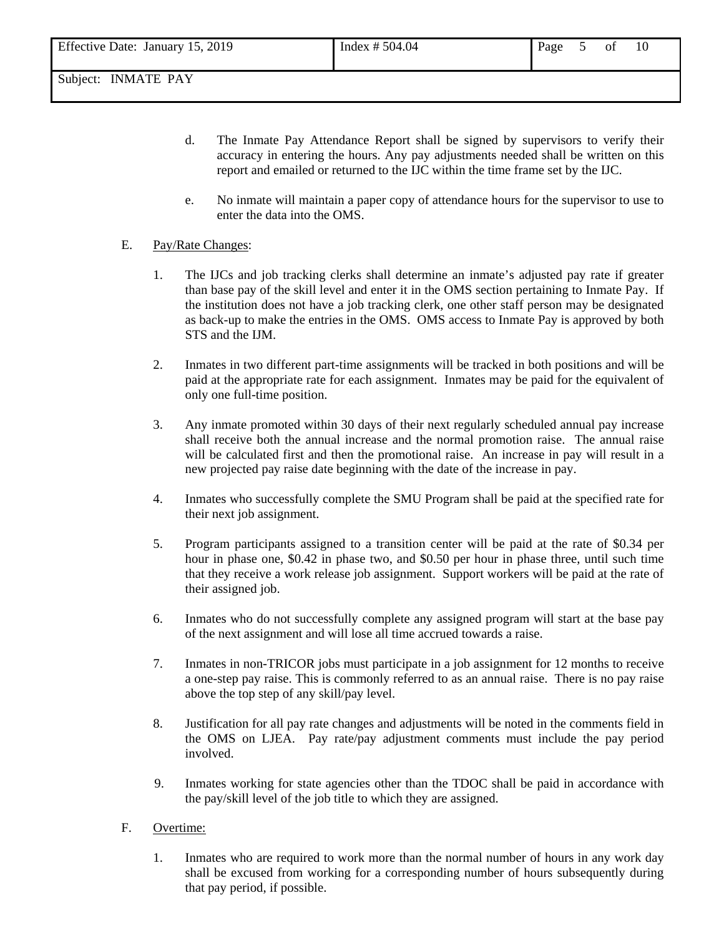- d. The Inmate Pay Attendance Report shall be signed by supervisors to verify their accuracy in entering the hours. Any pay adjustments needed shall be written on this report and emailed or returned to the IJC within the time frame set by the IJC.
- e. No inmate will maintain a paper copy of attendance hours for the supervisor to use to enter the data into the OMS.

## E. Pay/Rate Changes:

- 1. The IJCs and job tracking clerks shall determine an inmate's adjusted pay rate if greater than base pay of the skill level and enter it in the OMS section pertaining to Inmate Pay. If the institution does not have a job tracking clerk, one other staff person may be designated as back-up to make the entries in the OMS. OMS access to Inmate Pay is approved by both STS and the IJM.
- 2. Inmates in two different part-time assignments will be tracked in both positions and will be paid at the appropriate rate for each assignment. Inmates may be paid for the equivalent of only one full-time position.
- 3. Any inmate promoted within 30 days of their next regularly scheduled annual pay increase shall receive both the annual increase and the normal promotion raise. The annual raise will be calculated first and then the promotional raise. An increase in pay will result in a new projected pay raise date beginning with the date of the increase in pay.
- 4. Inmates who successfully complete the SMU Program shall be paid at the specified rate for their next job assignment.
- 5. Program participants assigned to a transition center will be paid at the rate of \$0.34 per hour in phase one, \$0.42 in phase two, and \$0.50 per hour in phase three, until such time that they receive a work release job assignment. Support workers will be paid at the rate of their assigned job.
- 6. Inmates who do not successfully complete any assigned program will start at the base pay of the next assignment and will lose all time accrued towards a raise.
- 7. Inmates in non-TRICOR jobs must participate in a job assignment for 12 months to receive a one-step pay raise. This is commonly referred to as an annual raise. There is no pay raise above the top step of any skill/pay level.
- 8. Justification for all pay rate changes and adjustments will be noted in the comments field in the OMS on LJEA. Pay rate/pay adjustment comments must include the pay period involved.
- 9. Inmates working for state agencies other than the TDOC shall be paid in accordance with the pay/skill level of the job title to which they are assigned.

## F. Overtime:

1. Inmates who are required to work more than the normal number of hours in any work day shall be excused from working for a corresponding number of hours subsequently during that pay period, if possible.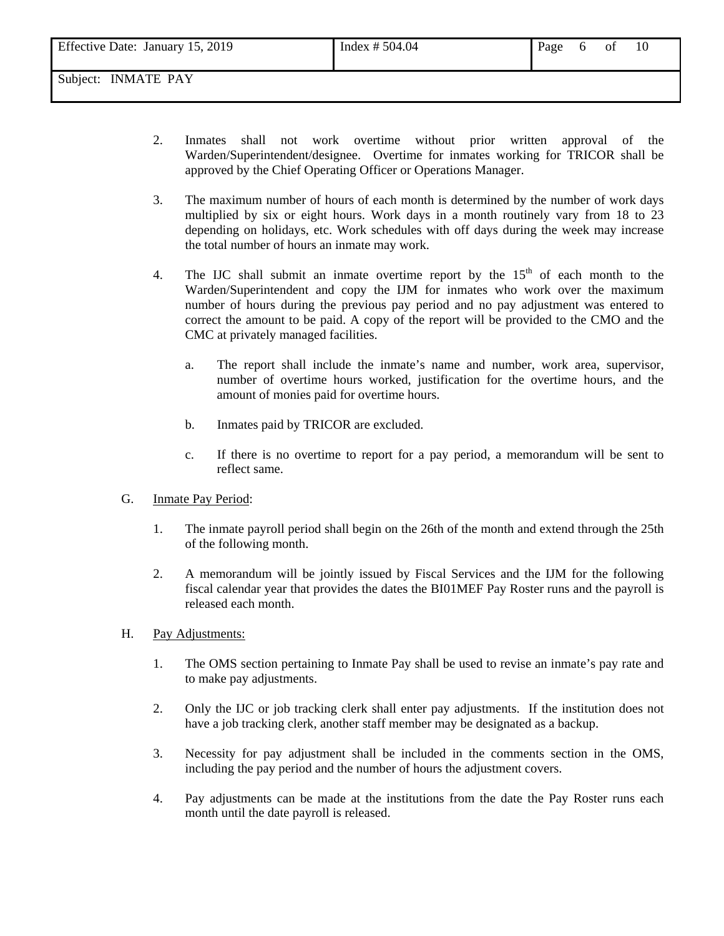- 2. Inmates shall not work overtime without prior written approval of the Warden/Superintendent/designee. Overtime for inmates working for TRICOR shall be approved by the Chief Operating Officer or Operations Manager.
- 3. The maximum number of hours of each month is determined by the number of work days multiplied by six or eight hours. Work days in a month routinely vary from 18 to 23 depending on holidays, etc. Work schedules with off days during the week may increase the total number of hours an inmate may work.
- 4. The IJC shall submit an inmate overtime report by the  $15<sup>th</sup>$  of each month to the Warden/Superintendent and copy the IJM for inmates who work over the maximum number of hours during the previous pay period and no pay adjustment was entered to correct the amount to be paid. A copy of the report will be provided to the CMO and the CMC at privately managed facilities.
	- a. The report shall include the inmate's name and number, work area, supervisor, number of overtime hours worked, justification for the overtime hours, and the amount of monies paid for overtime hours.
	- b. Inmates paid by TRICOR are excluded.
	- c. If there is no overtime to report for a pay period, a memorandum will be sent to reflect same.
- G. Inmate Pay Period:
	- 1. The inmate payroll period shall begin on the 26th of the month and extend through the 25th of the following month.
	- 2. A memorandum will be jointly issued by Fiscal Services and the IJM for the following fiscal calendar year that provides the dates the BI01MEF Pay Roster runs and the payroll is released each month.
- H. Pay Adjustments:
	- 1. The OMS section pertaining to Inmate Pay shall be used to revise an inmate's pay rate and to make pay adjustments.
	- 2. Only the IJC or job tracking clerk shall enter pay adjustments. If the institution does not have a job tracking clerk, another staff member may be designated as a backup.
	- 3. Necessity for pay adjustment shall be included in the comments section in the OMS, including the pay period and the number of hours the adjustment covers.
	- 4. Pay adjustments can be made at the institutions from the date the Pay Roster runs each month until the date payroll is released.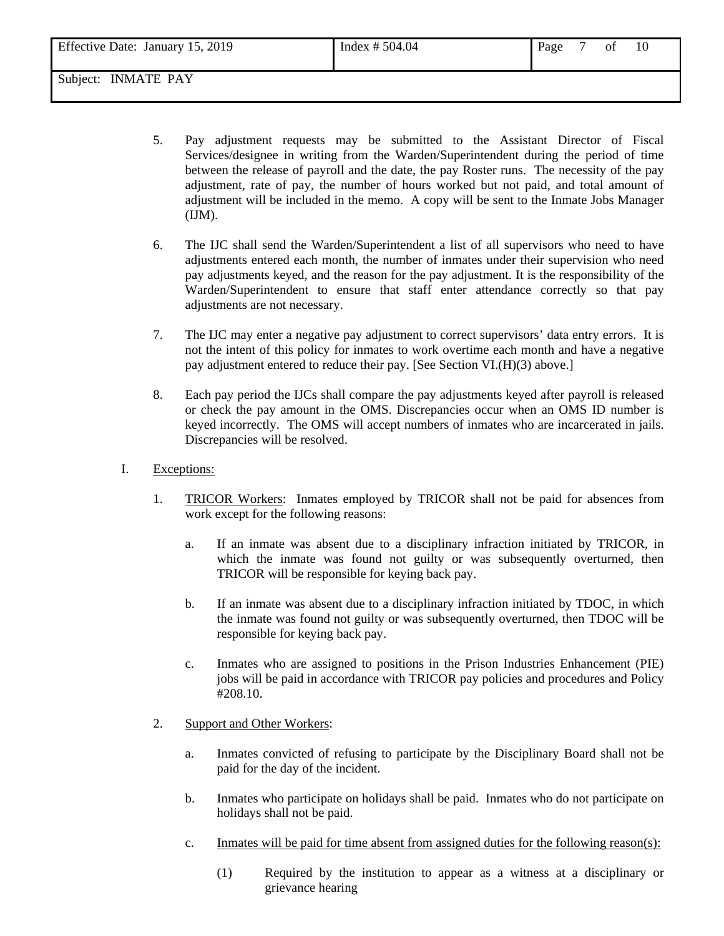| Effective Date: January 15, 2019 | Index $# 504.04$ | Page | 0 <sup>t</sup> | 10 |
|----------------------------------|------------------|------|----------------|----|
|                                  |                  |      |                |    |

- 5. Pay adjustment requests may be submitted to the Assistant Director of Fiscal Services/designee in writing from the Warden/Superintendent during the period of time between the release of payroll and the date, the pay Roster runs. The necessity of the pay adjustment, rate of pay, the number of hours worked but not paid, and total amount of adjustment will be included in the memo. A copy will be sent to the Inmate Jobs Manager (IJM).
- 6. The IJC shall send the Warden/Superintendent a list of all supervisors who need to have adjustments entered each month, the number of inmates under their supervision who need pay adjustments keyed, and the reason for the pay adjustment. It is the responsibility of the Warden/Superintendent to ensure that staff enter attendance correctly so that pay adjustments are not necessary.
- 7. The IJC may enter a negative pay adjustment to correct supervisors' data entry errors. It is not the intent of this policy for inmates to work overtime each month and have a negative pay adjustment entered to reduce their pay. [See Section VI.(H)(3) above.]
- 8. Each pay period the IJCs shall compare the pay adjustments keyed after payroll is released or check the pay amount in the OMS. Discrepancies occur when an OMS ID number is keyed incorrectly. The OMS will accept numbers of inmates who are incarcerated in jails. Discrepancies will be resolved.
- I. Exceptions:
	- 1. TRICOR Workers: Inmates employed by TRICOR shall not be paid for absences from work except for the following reasons:
		- a. If an inmate was absent due to a disciplinary infraction initiated by TRICOR, in which the inmate was found not guilty or was subsequently overturned, then TRICOR will be responsible for keying back pay.
		- b. If an inmate was absent due to a disciplinary infraction initiated by TDOC, in which the inmate was found not guilty or was subsequently overturned, then TDOC will be responsible for keying back pay.
		- c. Inmates who are assigned to positions in the Prison Industries Enhancement (PIE) jobs will be paid in accordance with TRICOR pay policies and procedures and Policy #208.10.
	- 2. Support and Other Workers:
		- a. Inmates convicted of refusing to participate by the Disciplinary Board shall not be paid for the day of the incident.
		- b. Inmates who participate on holidays shall be paid. Inmates who do not participate on holidays shall not be paid.
		- c. Inmates will be paid for time absent from assigned duties for the following reason(s):
			- (1) Required by the institution to appear as a witness at a disciplinary or grievance hearing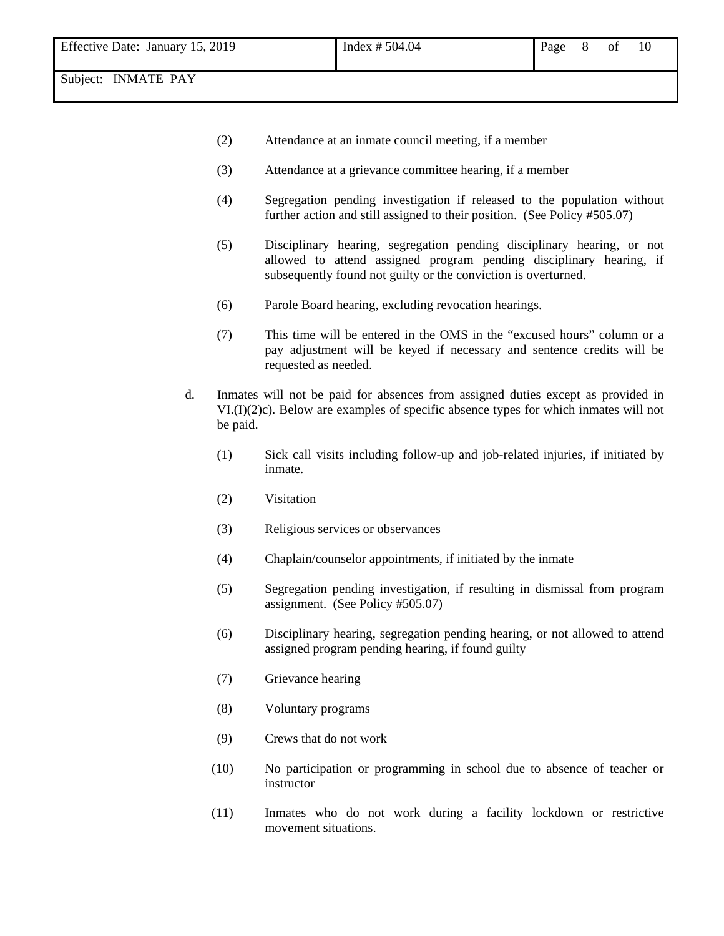- (2) Attendance at an inmate council meeting, if a member
- (3) Attendance at a grievance committee hearing, if a member
- (4) Segregation pending investigation if released to the population without further action and still assigned to their position. (See Policy #505.07)
- (5) Disciplinary hearing, segregation pending disciplinary hearing, or not allowed to attend assigned program pending disciplinary hearing, if subsequently found not guilty or the conviction is overturned.
- (6) Parole Board hearing, excluding revocation hearings.
- (7) This time will be entered in the OMS in the "excused hours" column or a pay adjustment will be keyed if necessary and sentence credits will be requested as needed.
- d. Inmates will not be paid for absences from assigned duties except as provided in VI.(I)(2)c). Below are examples of specific absence types for which inmates will not be paid.
	- (1) Sick call visits including follow-up and job-related injuries, if initiated by inmate.
	- (2) Visitation
	- (3) Religious services or observances
	- (4) Chaplain/counselor appointments, if initiated by the inmate
	- (5) Segregation pending investigation, if resulting in dismissal from program assignment. (See Policy #505.07)
	- (6) Disciplinary hearing, segregation pending hearing, or not allowed to attend assigned program pending hearing, if found guilty
	- (7) Grievance hearing
	- (8) Voluntary programs
	- (9) Crews that do not work
	- (10) No participation or programming in school due to absence of teacher or instructor
	- (11) Inmates who do not work during a facility lockdown or restrictive movement situations.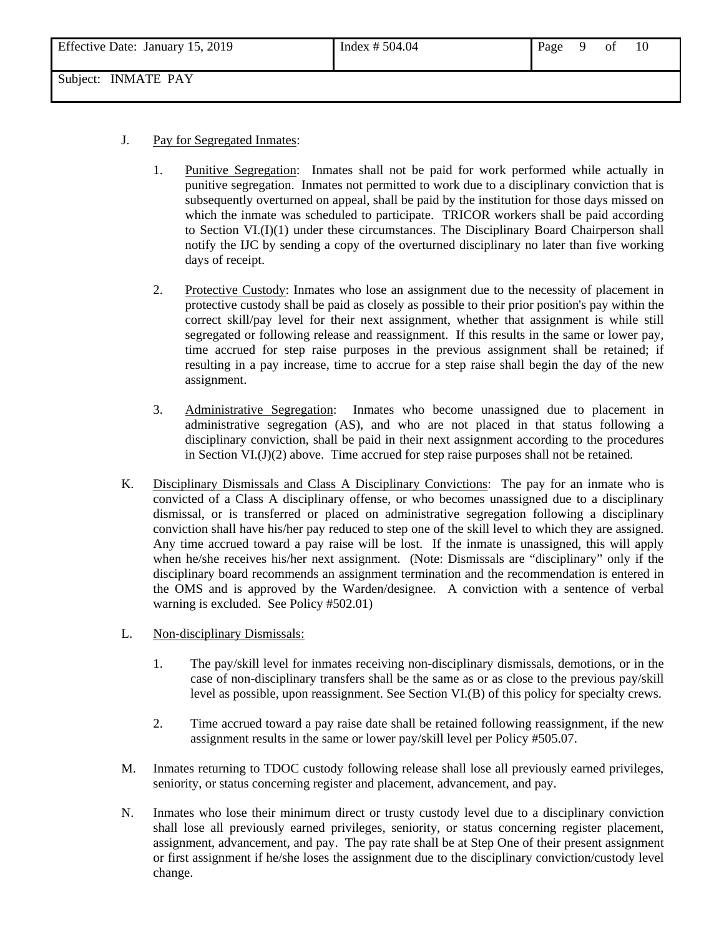| Effective Date: January 15, 2019 | Index $# 504.04$ | Page | of |  |
|----------------------------------|------------------|------|----|--|
|                                  |                  |      |    |  |

- J. Pay for Segregated Inmates:
	- 1. Punitive Segregation: Inmates shall not be paid for work performed while actually in punitive segregation. Inmates not permitted to work due to a disciplinary conviction that is subsequently overturned on appeal, shall be paid by the institution for those days missed on which the inmate was scheduled to participate. TRICOR workers shall be paid according to Section VI.(I)(1) under these circumstances. The Disciplinary Board Chairperson shall notify the IJC by sending a copy of the overturned disciplinary no later than five working days of receipt.
	- 2. Protective Custody: Inmates who lose an assignment due to the necessity of placement in protective custody shall be paid as closely as possible to their prior position's pay within the correct skill/pay level for their next assignment, whether that assignment is while still segregated or following release and reassignment. If this results in the same or lower pay, time accrued for step raise purposes in the previous assignment shall be retained; if resulting in a pay increase, time to accrue for a step raise shall begin the day of the new assignment.
	- 3. Administrative Segregation: Inmates who become unassigned due to placement in administrative segregation (AS), and who are not placed in that status following a disciplinary conviction, shall be paid in their next assignment according to the procedures in Section VI. $(J)(2)$  above. Time accrued for step raise purposes shall not be retained.
- K. Disciplinary Dismissals and Class A Disciplinary Convictions: The pay for an inmate who is convicted of a Class A disciplinary offense, or who becomes unassigned due to a disciplinary dismissal, or is transferred or placed on administrative segregation following a disciplinary conviction shall have his/her pay reduced to step one of the skill level to which they are assigned. Any time accrued toward a pay raise will be lost. If the inmate is unassigned, this will apply when he/she receives his/her next assignment. (Note: Dismissals are "disciplinary" only if the disciplinary board recommends an assignment termination and the recommendation is entered in the OMS and is approved by the Warden/designee. A conviction with a sentence of verbal warning is excluded. See Policy #502.01)
- L. Non-disciplinary Dismissals:
	- 1. The pay/skill level for inmates receiving non-disciplinary dismissals, demotions, or in the case of non-disciplinary transfers shall be the same as or as close to the previous pay/skill level as possible, upon reassignment. See Section VI.(B) of this policy for specialty crews.
	- 2. Time accrued toward a pay raise date shall be retained following reassignment, if the new assignment results in the same or lower pay/skill level per Policy #505.07.
- M. Inmates returning to TDOC custody following release shall lose all previously earned privileges, seniority, or status concerning register and placement, advancement, and pay.
- N. Inmates who lose their minimum direct or trusty custody level due to a disciplinary conviction shall lose all previously earned privileges, seniority, or status concerning register placement, assignment, advancement, and pay. The pay rate shall be at Step One of their present assignment or first assignment if he/she loses the assignment due to the disciplinary conviction/custody level change.